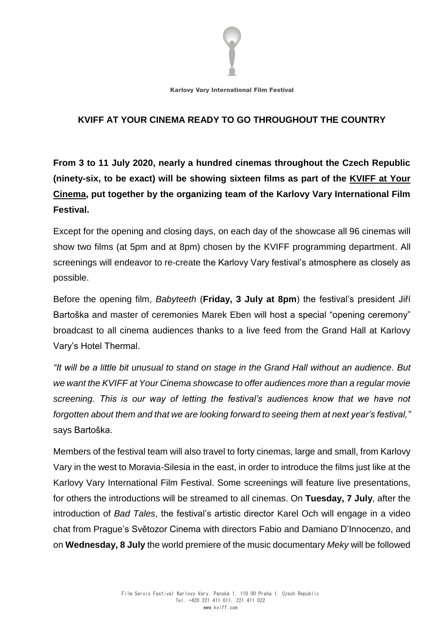

**Karlovy Vary International Film Festival** 

## **KVIFF AT YOUR CINEMA READY TO GO THROUGHOUT THE COUNTRY**

**From 3 to 11 July 2020, nearly a hundred cinemas throughout the Czech Republic (ninety-six, to be exact) will be showing sixteen films as part of the KVIFF at Your Cinema, put together by the organizing team of the Karlovy Vary International Film Festival.**

Except for the opening and closing days, on each day of the showcase all 96 cinemas will show two films (at 5pm and at 8pm) chosen by the KVIFF programming department. All screenings will endeavor to re-create the Karlovy Vary festival's atmosphere as closely as possible.

Before the opening film, *Babyteeth* (**Friday, 3 July at 8pm**) the festival's president Jiří Bartoška and master of ceremonies Marek Eben will host a special "opening ceremony" broadcast to all cinema audiences thanks to a live feed from the Grand Hall at Karlovy Vary's Hotel Thermal.

*"It will be a little bit unusual to stand on stage in the Grand Hall without an audience. But we want the KVIFF at Your Cinema showcase to offer audiences more than a regular movie screening. This is our way of letting the festival's audiences know that we have not forgotten about them and that we are looking forward to seeing them at next year's festival,"* says Bartoška.

Members of the festival team will also travel to forty cinemas, large and small, from Karlovy Vary in the west to Moravia-Silesia in the east, in order to introduce the films just like at the Karlovy Vary International Film Festival. Some screenings will feature live presentations, for others the introductions will be streamed to all cinemas. On **Tuesday, 7 July**, after the introduction of *Bad Tales*, the festival's artistic director Karel Och will engage in a video chat from Prague's Světozor Cinema with directors Fabio and Damiano D'Innocenzo, and on **Wednesday, 8 July** the world premiere of the music documentary *Meky* will be followed